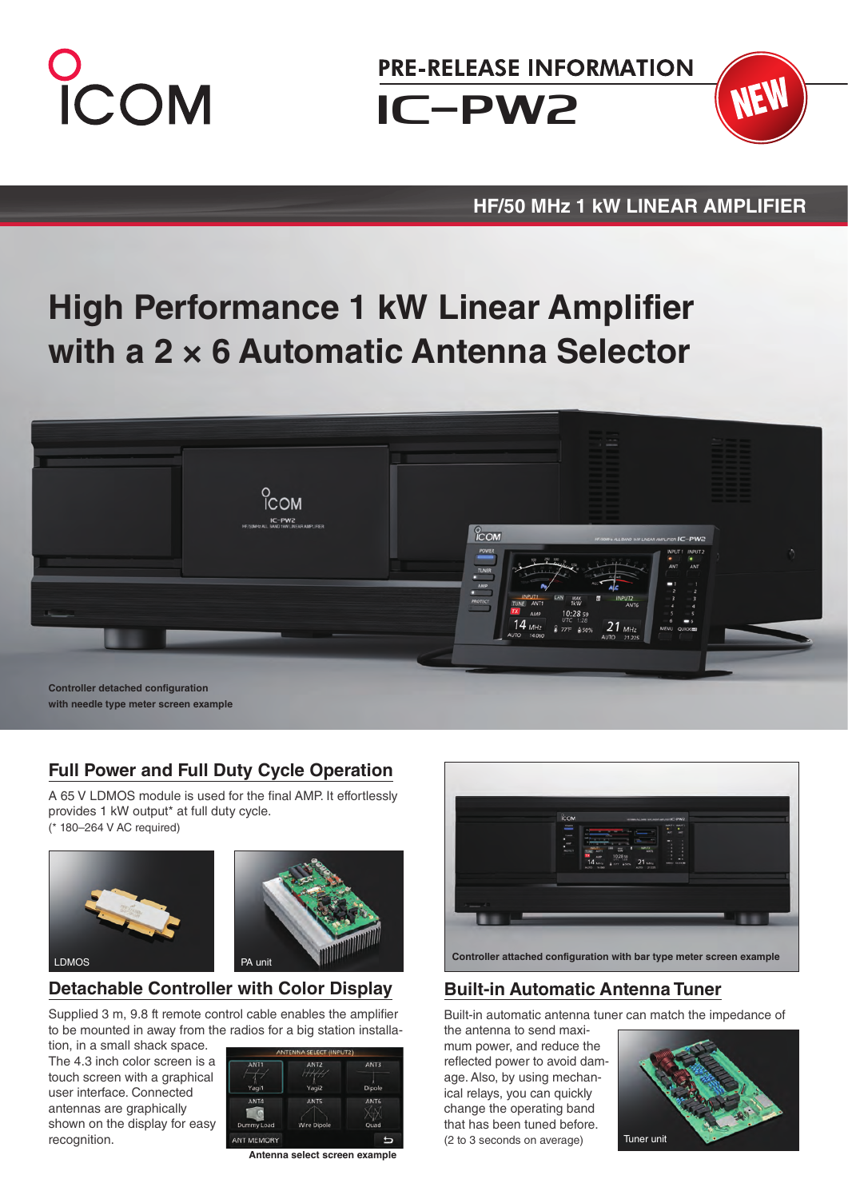

**PRE-RELEASE INFORMATION** 

Iç-PW2



## **HF/50 MHz 1 kW LINEAR AMPLIFIER**

# **High Performance 1 kW Linear Amplifier with a 2 × 6 Automatic Antenna Selector**



**Controller detached configuration with needle type meter screen example**

# **Full Power and Full Duty Cycle Operation**

A 65 V LDMOS module is used for the final AMP. It effortlessly provides 1 kW output\* at full duty cycle. (\* 180–264 V AC required)





# **Detachable Controller with Color Display**

Supplied 3 m, 9.8 ft remote control cable enables the amplifier to be mounted in away from the radios for a big station installa-

tion, in a small shack space. The 4.3 inch color screen is a touch screen with a graphical user interface. Connected antennas are graphically shown on the display for easy recognition.



**Antenna select screen example**



### **Built-in Automatic Antenna Tuner**

Built-in automatic antenna tuner can match the impedance of

the antenna to send maximum power, and reduce the reflected power to avoid damage. Also, by using mechanical relays, you can quickly change the operating band that has been tuned before. (2 to 3 seconds on average)